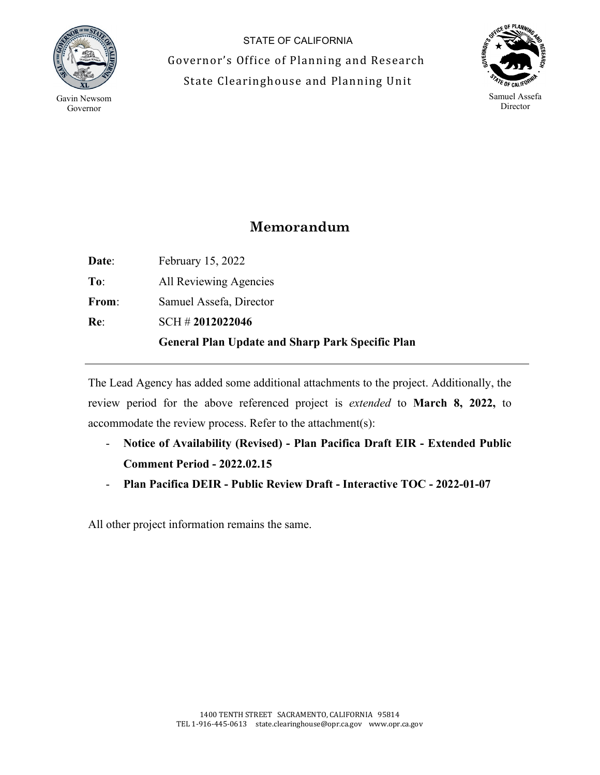

STATE OF CALIFORNIA Governor's Office of Planning and Research State Clearinghouse and Planning Unit



**Memorandum**

|              | <b>General Plan Update and Sharp Park Specific Plan</b> |
|--------------|---------------------------------------------------------|
| Re:          | $SCH \# 2012022046$                                     |
| From:        | Samuel Assefa, Director                                 |
| To:          | All Reviewing Agencies                                  |
| <b>Date:</b> | February 15, 2022                                       |

The Lead Agency has added some additional attachments to the project. Additionally, the review period for the above referenced project is *extended* to **March 8, 2022,** to accommodate the review process. Refer to the attachment(s):

- **Notice of Availability (Revised) - Plan Pacifica Draft EIR - Extended Public Comment Period - 2022.02.15**
- **Plan Pacifica DEIR - Public Review Draft - Interactive TOC - 2022-01-07**

All other project information remains the same.